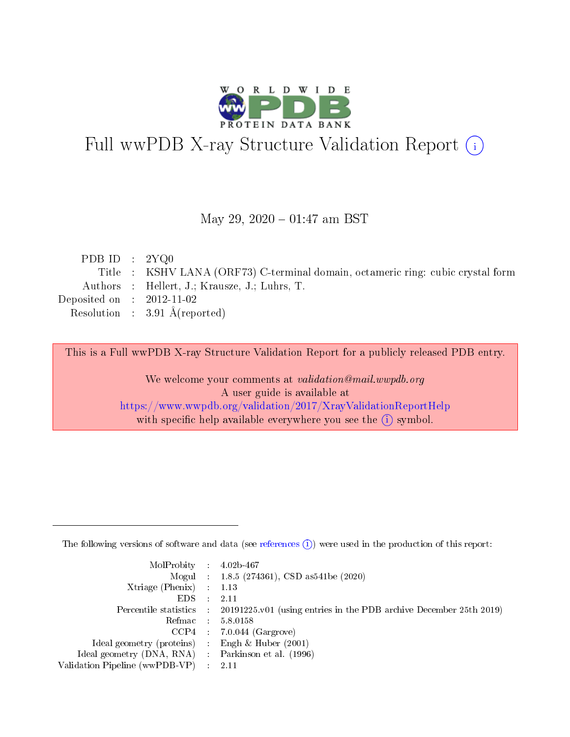

# Full wwPDB X-ray Structure Validation Report (i)

#### May 29,  $2020 - 01:47$  am BST

| Title : KSHV LANA (ORF73) C-terminal domain, octameric ring: cubic crystal form |
|---------------------------------------------------------------------------------|
| Authors : Hellert, J.; Krausze, J.; Luhrs, T.                                   |
|                                                                                 |
| Resolution : $3.91 \text{ Å}$ (reported)                                        |
|                                                                                 |

This is a Full wwPDB X-ray Structure Validation Report for a publicly released PDB entry.

We welcome your comments at validation@mail.wwpdb.org A user guide is available at <https://www.wwpdb.org/validation/2017/XrayValidationReportHelp> with specific help available everywhere you see the  $(i)$  symbol.

The following versions of software and data (see [references](https://www.wwpdb.org/validation/2017/XrayValidationReportHelp#references)  $(1)$ ) were used in the production of this report:

| $MolProbability$ : 4.02b-467                        |                                                                                              |
|-----------------------------------------------------|----------------------------------------------------------------------------------------------|
|                                                     | Mogul : 1.8.5 (274361), CSD as 541 be (2020)                                                 |
| Xtriage (Phenix) $: 1.13$                           |                                                                                              |
| $EDS$ :                                             | -2.11                                                                                        |
|                                                     | Percentile statistics : $20191225.v01$ (using entries in the PDB archive December 25th 2019) |
| Refmac : 5.8.0158                                   |                                                                                              |
|                                                     | $CCP4$ : 7.0.044 (Gargrove)                                                                  |
| Ideal geometry (proteins) :                         | Engh $\&$ Huber (2001)                                                                       |
| Ideal geometry (DNA, RNA) : Parkinson et al. (1996) |                                                                                              |
| Validation Pipeline (wwPDB-VP) : 2.11               |                                                                                              |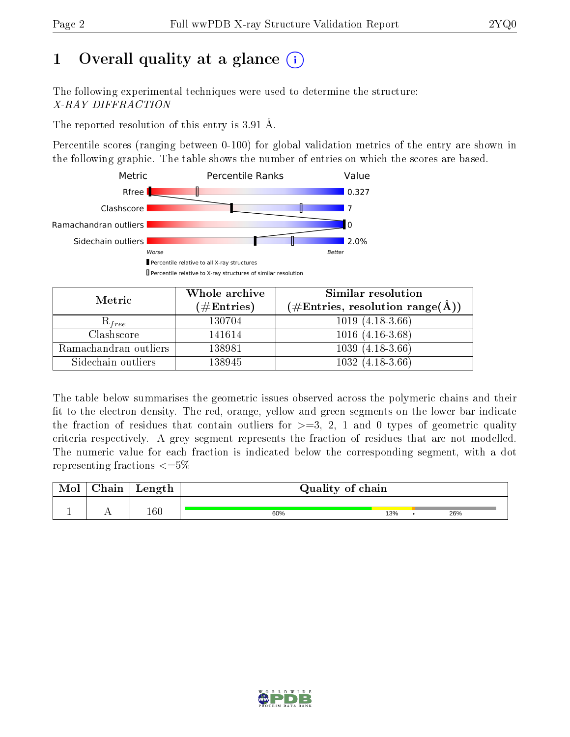# 1 [O](https://www.wwpdb.org/validation/2017/XrayValidationReportHelp#overall_quality)verall quality at a glance  $(i)$

The following experimental techniques were used to determine the structure: X-RAY DIFFRACTION

The reported resolution of this entry is 3.91 Å.

Percentile scores (ranging between 0-100) for global validation metrics of the entry are shown in the following graphic. The table shows the number of entries on which the scores are based.



| Metric                | Whole archive<br>$(\#\text{Entries})$ | Similar resolution<br>$(\#\text{Entries}, \text{resolution range}(\text{\AA}))$ |  |
|-----------------------|---------------------------------------|---------------------------------------------------------------------------------|--|
| $\mathcal{R}_{free}$  | 130704                                | $1019(4.18-3.66)$                                                               |  |
| Clashscore            | 141614                                | $1016(4.16-3.68)$                                                               |  |
| Ramachandran outliers | 138981                                | $1039(4.18-3.66)$                                                               |  |
| Sidechain outliers    | 138945                                | $1032(4.18-3.66)$                                                               |  |

The table below summarises the geometric issues observed across the polymeric chains and their fit to the electron density. The red, orange, yellow and green segments on the lower bar indicate the fraction of residues that contain outliers for  $>=3, 2, 1$  and 0 types of geometric quality criteria respectively. A grey segment represents the fraction of residues that are not modelled. The numeric value for each fraction is indicated below the corresponding segment, with a dot representing fractions  $\epsilon = 5\%$ 

| $\gamma$ hain | Length  | Quality of chain |     |  |     |  |
|---------------|---------|------------------|-----|--|-----|--|
|               | $160\,$ | 60%              | 13% |  | 26% |  |

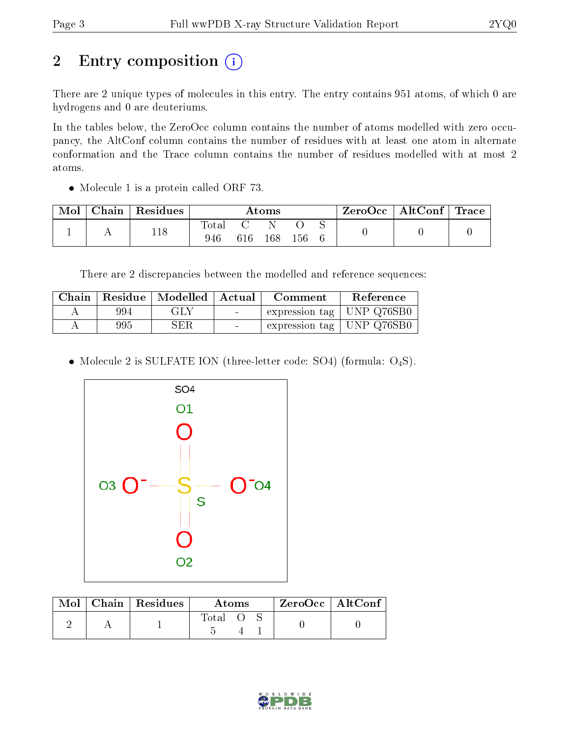# 2 Entry composition (i)

There are 2 unique types of molecules in this entry. The entry contains 951 atoms, of which 0 are hydrogens and 0 are deuteriums.

In the tables below, the ZeroOcc column contains the number of atoms modelled with zero occupancy, the AltConf column contains the number of residues with at least one atom in alternate conformation and the Trace column contains the number of residues modelled with at most 2 atoms.

• Molecule 1 is a protein called ORF 73.

| Mol | Chain | $\,$ Residues | $\bm{\mathrm{Atoms}}$ |     |     | ZeroOcc | $\vert$ AltConf $\vert$ Trace $\vert$ |  |  |  |
|-----|-------|---------------|-----------------------|-----|-----|---------|---------------------------------------|--|--|--|
|     |       | 118           | <b>Total</b><br>946   | 616 | 168 | 156     |                                       |  |  |  |

There are 2 discrepancies between the modelled and reference sequences:

| Chain |     | Residue   Modelled   Actual |                          | Comment                     | Reference |
|-------|-----|-----------------------------|--------------------------|-----------------------------|-----------|
|       | 994 | GLY                         | <b>Contract Contract</b> | expression tag   UNP Q76SB0 |           |
|       | 995 | ${\rm SER}$                 | $\sim$                   | expression tag   UNP Q76SB0 |           |

• Molecule 2 is SULFATE ION (three-letter code: SO4) (formula:  $O_4S$ ).



|  | $\text{Mol}$   Chain   Residues | Atoms        |  | $ZeroOcc$   AltConf |  |  |
|--|---------------------------------|--------------|--|---------------------|--|--|
|  |                                 | <b>Total</b> |  |                     |  |  |

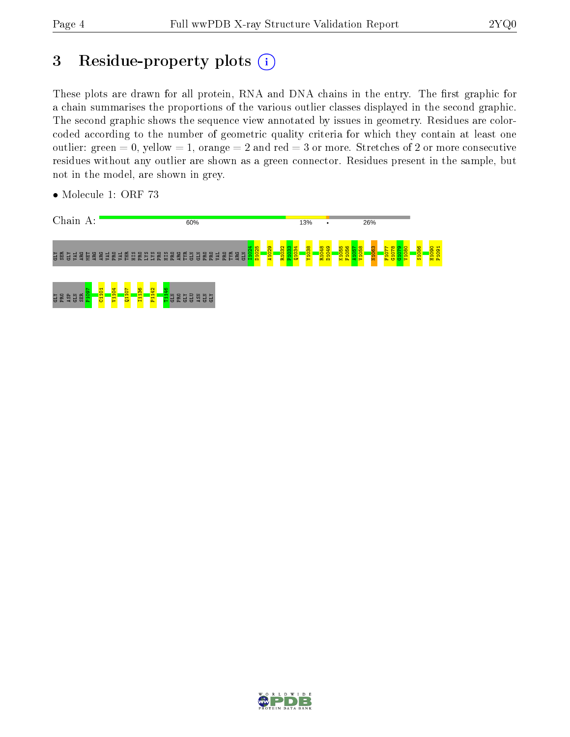# 3 Residue-property plots (i)

These plots are drawn for all protein, RNA and DNA chains in the entry. The first graphic for a chain summarises the proportions of the various outlier classes displayed in the second graphic. The second graphic shows the sequence view annotated by issues in geometry. Residues are colorcoded according to the number of geometric quality criteria for which they contain at least one outlier: green  $= 0$ , yellow  $= 1$ , orange  $= 2$  and red  $= 3$  or more. Stretches of 2 or more consecutive residues without any outlier are shown as a green connector. Residues present in the sample, but not in the model, are shown in grey.



• Molecule 1: ORF 73

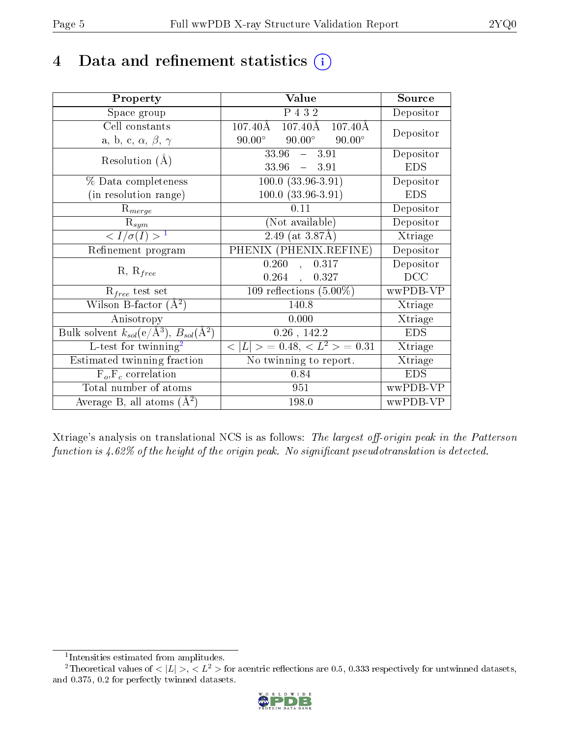# 4 Data and refinement statistics  $(i)$

| Property                                                   | Value                                                       | Source     |
|------------------------------------------------------------|-------------------------------------------------------------|------------|
| Space group                                                | P 432                                                       | Depositor  |
| Cell constants                                             | $107.40\text{\AA}$ $107.40\text{\AA}$<br>$107.40\text{\AA}$ | Depositor  |
| a, b, c, $\alpha$ , $\beta$ , $\gamma$                     | $90.00^\circ$<br>$90.00^{\circ}$<br>$90.00^\circ$           |            |
| Resolution $(A)$                                           | $33.96 - 3.91$                                              | Depositor  |
|                                                            | $33.96 - 3.91$                                              | <b>EDS</b> |
| $\%$ Data completeness                                     | $100.0 (33.96-3.91)$                                        | Depositor  |
| (in resolution range)                                      | $100.0 (33.96 - 3.91)$                                      | <b>EDS</b> |
| $R_{merge}$                                                | 0.11                                                        | Depositor  |
| $\mathrm{R}_{sym}$                                         | (Not available)                                             | Depositor  |
| $\langle I/\sigma(I) \rangle^{-1}$                         | $2.49$ (at 3.87Å)                                           | Xtriage    |
| Refinement program                                         | $PHENI\overline{X}$ (PHENIX.REFINE)                         | Depositor  |
|                                                            | 0.260<br>0.317<br>$\mathcal{L}$                             | Depositor  |
| $R, R_{free}$                                              | $0.264$ ,<br>0.327                                          | DCC        |
| $R_{free}$ test set                                        | 109 reflections $(5.00\%)$                                  | wwPDB-VP   |
| Wilson B-factor $(A^2)$                                    | 140.8                                                       | Xtriage    |
| Anisotropy                                                 | 0.000                                                       | Xtriage    |
| Bulk solvent $k_{sol}$ (e/Å <sup>3</sup> ), $B_{sol}(A^2)$ | $0.26$ , 142.2                                              | <b>EDS</b> |
| L-test for $\mathrm{twinning}^2$                           | $< L >$ = 0.48, $< L2 >$ = 0.31                             | Xtriage    |
| Estimated twinning fraction                                | No twinning to report.                                      | Xtriage    |
| $F_o, F_c$ correlation                                     | 0.84                                                        | <b>EDS</b> |
| Total number of atoms                                      | 951                                                         | wwPDB-VP   |
| Average B, all atoms $(A^2)$                               | 198.0                                                       | wwPDB-VP   |

Xtriage's analysis on translational NCS is as follows: The largest off-origin peak in the Patterson function is  $4.62\%$  of the height of the origin peak. No significant pseudotranslation is detected.

<sup>&</sup>lt;sup>2</sup>Theoretical values of  $\langle |L| \rangle$ ,  $\langle L^2 \rangle$  for acentric reflections are 0.5, 0.333 respectively for untwinned datasets, and 0.375, 0.2 for perfectly twinned datasets.



<span id="page-4-1"></span><span id="page-4-0"></span><sup>1</sup> Intensities estimated from amplitudes.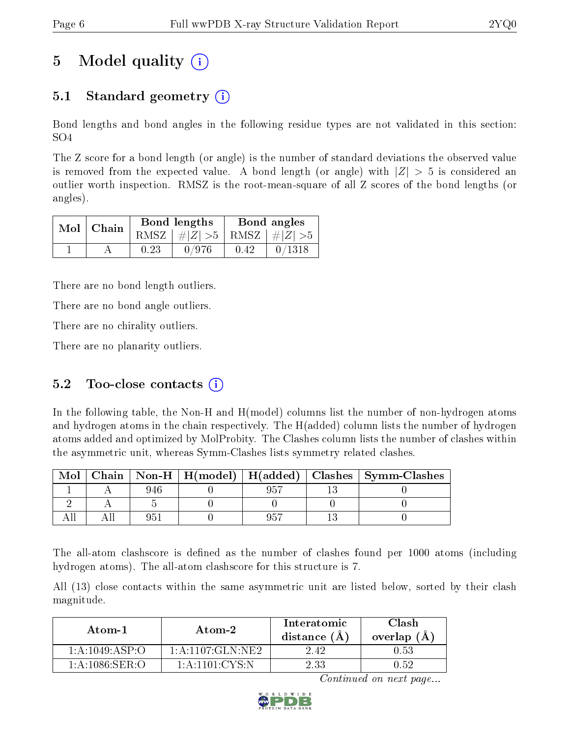# 5 Model quality  $(i)$

## 5.1 Standard geometry (i)

Bond lengths and bond angles in the following residue types are not validated in this section: SO4

The Z score for a bond length (or angle) is the number of standard deviations the observed value is removed from the expected value. A bond length (or angle) with  $|Z| > 5$  is considered an outlier worth inspection. RMSZ is the root-mean-square of all Z scores of the bond lengths (or angles).

| $Mol$   Chain |      | Bond lengths                    | Bond angles |        |  |
|---------------|------|---------------------------------|-------------|--------|--|
|               |      | RMSZ $ #Z  > 5$ RMSZ $ #Z  > 5$ |             |        |  |
|               | 0.23 | 0/976                           | 0.42        | 0/1318 |  |

There are no bond length outliers.

There are no bond angle outliers.

There are no chirality outliers.

There are no planarity outliers.

### 5.2 Too-close contacts  $(i)$

In the following table, the Non-H and H(model) columns list the number of non-hydrogen atoms and hydrogen atoms in the chain respectively. The H(added) column lists the number of hydrogen atoms added and optimized by MolProbity. The Clashes column lists the number of clashes within the asymmetric unit, whereas Symm-Clashes lists symmetry related clashes.

| Mol |     |  | Chain   Non-H   H(model)   H(added)   Clashes   Symm-Clashes |
|-----|-----|--|--------------------------------------------------------------|
|     |     |  |                                                              |
|     |     |  |                                                              |
|     | 95. |  |                                                              |

The all-atom clashscore is defined as the number of clashes found per 1000 atoms (including hydrogen atoms). The all-atom clashscore for this structure is 7.

All (13) close contacts within the same asymmetric unit are listed below, sorted by their clash magnitude.

| Atom-1                                   | Atom-2               | Interatomic<br>distance (A | Clash<br>overlap $(A)$ |
|------------------------------------------|----------------------|----------------------------|------------------------|
| $1 \cdot A \cdot 1049 \cdot ASP \cdot O$ | 1: A: 1107: GLN: NE2 | 2.42                       | 0.53                   |
| $1:$ A:1086:SER:O                        | 1 A 1101 CYS N       | 2 33                       | N 52                   |

Continued on next page...

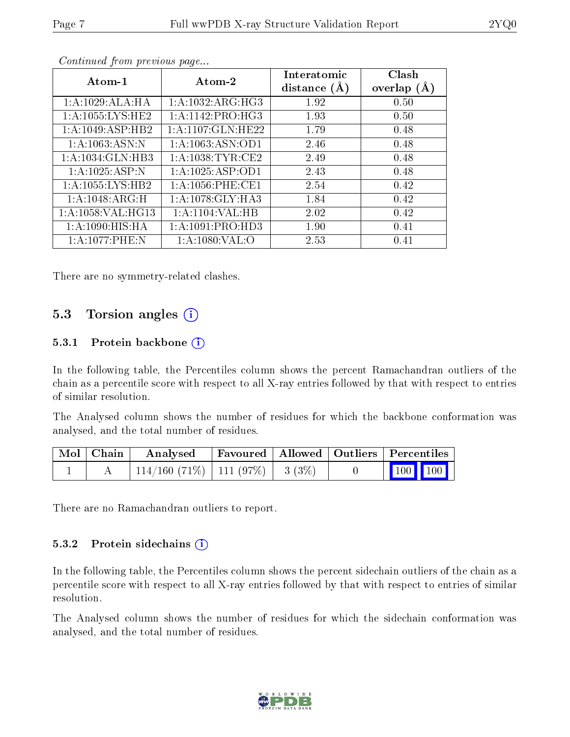| Atom-1               | Atom-2               | Interatomic<br>distance $(A)$ | Clash<br>overlap $(A)$ |
|----------------------|----------------------|-------------------------------|------------------------|
| 1: A:1029: ALA:HA    | 1: A: 1032: ARG: HG3 | 1.92                          | 0.50                   |
| 1: A: 1055: LYS: HE2 | 1: A: 1142: PRO:HG3  | 1.93                          | 0.50                   |
| 1: A: 1049: ASP: HB2 | 1: A:1107: GLN: HE22 | 1.79                          | 0.48                   |
| 1: A: 1063: ASN: N   | 1: A: 1063: ASN: OD1 | 2.46                          | 0.48                   |
| 1: A: 1034: GLN: HB3 | 1: A:1038:TYR:CE2    | 2.49                          | 0.48                   |
| 1: A: 1025: ASP:N    | 1:A:1025:ASP:OD1     | 2.43                          | 0.48                   |
| 1:A:1055:LYS:HB2     | 1: A: 1056: PHE: CE1 | 2.54                          | 0.42                   |
| 1: A:1048: ARG:H     | 1: A:1078: GLY:HA3   | 1.84                          | 0.42                   |
| 1: A: 1058: VAL:HG13 | 1:A:1104:VAL:HB      | 2.02                          | 0.42                   |
| 1: A:1090:HIS:HA     | 1: A: 1091: PRO: HD3 | 1.90                          | 0.41                   |
| 1:A:1077:PHE:N       | 1: A: 1080: VAL: O   | 2.53                          | 0.41                   |

Continued from previous page...

There are no symmetry-related clashes.

## 5.3 Torsion angles (i)

#### 5.3.1 Protein backbone  $(i)$

In the following table, the Percentiles column shows the percent Ramachandran outliers of the chain as a percentile score with respect to all X-ray entries followed by that with respect to entries of similar resolution.

The Analysed column shows the number of residues for which the backbone conformation was analysed, and the total number of residues.

| Mol   Chain | Analysed                                |  | Favoured   Allowed   Outliers   Percentiles |  |
|-------------|-----------------------------------------|--|---------------------------------------------|--|
|             | $114/160$ (71\%)   111 (97\%)   3 (3\%) |  | $\boxed{100}$ $\boxed{100}$                 |  |

There are no Ramachandran outliers to report.

#### 5.3.2 Protein sidechains  $\left( \widehat{\mathbf{i}} \right)$

In the following table, the Percentiles column shows the percent sidechain outliers of the chain as a percentile score with respect to all X-ray entries followed by that with respect to entries of similar resolution.

The Analysed column shows the number of residues for which the sidechain conformation was analysed, and the total number of residues.

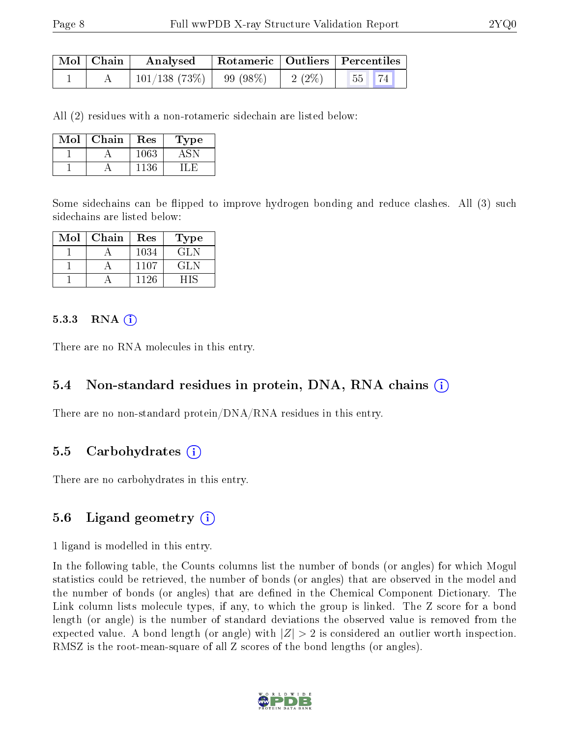| $\mid$ Mol $\mid$ Chain $\mid$ | Analysed                     |          | Rotameric   Outliers   Percentiles |  |  |
|--------------------------------|------------------------------|----------|------------------------------------|--|--|
|                                | $101/138$ (73\%)   99 (98\%) | $2(2\%)$ | $55$ 74                            |  |  |

All (2) residues with a non-rotameric sidechain are listed below:

| Mol | Chain | Res  | Type |
|-----|-------|------|------|
|     |       | 1063 |      |
|     |       | 1136 |      |

Some sidechains can be flipped to improve hydrogen bonding and reduce clashes. All (3) such sidechains are listed below:

| Mol | Chain | Res  | Type |
|-----|-------|------|------|
|     |       | 1034 | GLN  |
|     |       | 1107 | GLN  |
|     |       | 1126 |      |

#### $5.3.3$  RNA  $(i)$

There are no RNA molecules in this entry.

### 5.4 Non-standard residues in protein, DNA, RNA chains (i)

There are no non-standard protein/DNA/RNA residues in this entry.

#### 5.5 Carbohydrates (i)

There are no carbohydrates in this entry.

### 5.6 Ligand geometry (i)

1 ligand is modelled in this entry.

In the following table, the Counts columns list the number of bonds (or angles) for which Mogul statistics could be retrieved, the number of bonds (or angles) that are observed in the model and the number of bonds (or angles) that are defined in the Chemical Component Dictionary. The Link column lists molecule types, if any, to which the group is linked. The Z score for a bond length (or angle) is the number of standard deviations the observed value is removed from the expected value. A bond length (or angle) with  $|Z| > 2$  is considered an outlier worth inspection. RMSZ is the root-mean-square of all Z scores of the bond lengths (or angles).

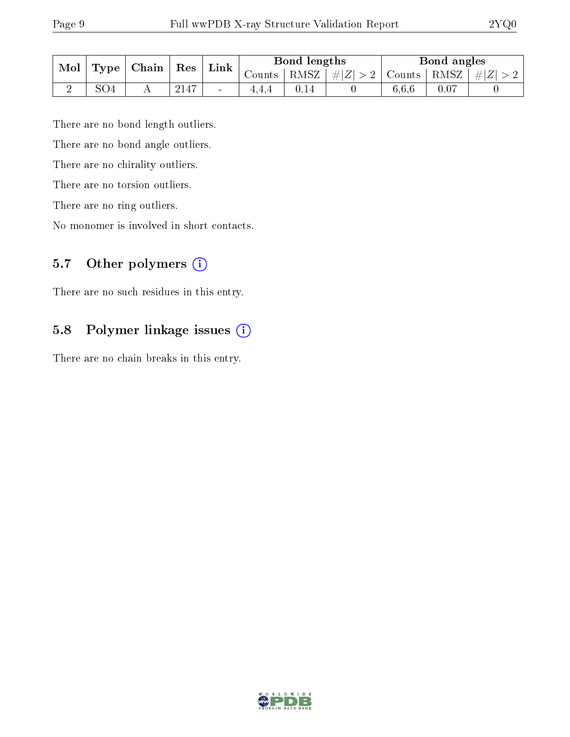| Mol | Type | Chain | Res  | Link   | Bond lengths |          |                         | Bond angles |      |           |
|-----|------|-------|------|--------|--------------|----------|-------------------------|-------------|------|-----------|
|     |      |       |      |        | Counts       | $RMSZ_1$ | $\# Z $<br>$>$ $\angle$ | Counts      | RMSZ | $  \# Z $ |
| ↵   | SO4  |       | 2147 | $\sim$ |              |          |                         | 6.6.6       | 0.07 |           |

There are no bond length outliers.

There are no bond angle outliers.

There are no chirality outliers.

There are no torsion outliers.

There are no ring outliers.

No monomer is involved in short contacts.

## 5.7 [O](https://www.wwpdb.org/validation/2017/XrayValidationReportHelp#nonstandard_residues_and_ligands)ther polymers (i)

There are no such residues in this entry.

## 5.8 Polymer linkage issues (i)

There are no chain breaks in this entry.